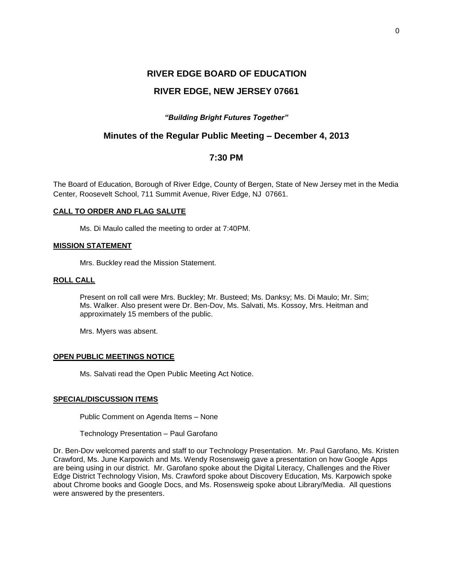# **RIVER EDGE BOARD OF EDUCATION RIVER EDGE, NEW JERSEY 07661**

# *"Building Bright Futures Together"*

# **Minutes of the Regular Public Meeting – December 4, 2013**

# **7:30 PM**

The Board of Education, Borough of River Edge, County of Bergen, State of New Jersey met in the Media Center, Roosevelt School, 711 Summit Avenue, River Edge, NJ 07661.

# **CALL TO ORDER AND FLAG SALUTE**

Ms. Di Maulo called the meeting to order at 7:40PM.

# **MISSION STATEMENT**

Mrs. Buckley read the Mission Statement.

# **ROLL CALL**

Present on roll call were Mrs. Buckley; Mr. Busteed; Ms. Danksy; Ms. Di Maulo; Mr. Sim; Ms. Walker. Also present were Dr. Ben-Dov, Ms. Salvati, Ms. Kossoy, Mrs. Heitman and approximately 15 members of the public.

Mrs. Myers was absent.

# **OPEN PUBLIC MEETINGS NOTICE**

Ms. Salvati read the Open Public Meeting Act Notice.

# **SPECIAL/DISCUSSION ITEMS**

Public Comment on Agenda Items – None

Technology Presentation – Paul Garofano

Dr. Ben-Dov welcomed parents and staff to our Technology Presentation. Mr. Paul Garofano, Ms. Kristen Crawford, Ms. June Karpowich and Ms. Wendy Rosensweig gave a presentation on how Google Apps are being using in our district. Mr. Garofano spoke about the Digital Literacy, Challenges and the River Edge District Technology Vision, Ms. Crawford spoke about Discovery Education, Ms. Karpowich spoke about Chrome books and Google Docs, and Ms. Rosensweig spoke about Library/Media. All questions were answered by the presenters.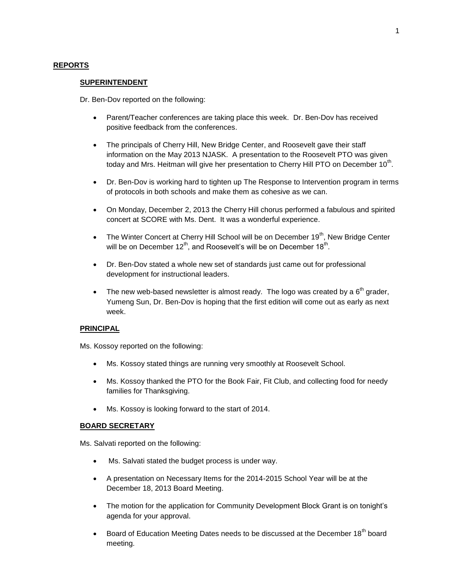# **REPORTS**

#### **SUPERINTENDENT**

Dr. Ben-Dov reported on the following:

- Parent/Teacher conferences are taking place this week. Dr. Ben-Dov has received positive feedback from the conferences.
- The principals of Cherry Hill, New Bridge Center, and Roosevelt gave their staff information on the May 2013 NJASK. A presentation to the Roosevelt PTO was given today and Mrs. Heitman will give her presentation to Cherry Hill PTO on December 10<sup>th</sup>.
- Dr. Ben-Dov is working hard to tighten up The Response to Intervention program in terms of protocols in both schools and make them as cohesive as we can.
- On Monday, December 2, 2013 the Cherry Hill chorus performed a fabulous and spirited concert at SCORE with Ms. Dent. It was a wonderful experience.
- The Winter Concert at Cherry Hill School will be on December  $19<sup>th</sup>$ , New Bridge Center will be on December 12<sup>th</sup>, and Roosevelt's will be on December 18<sup>th</sup>.
- Dr. Ben-Dov stated a whole new set of standards just came out for professional development for instructional leaders.
- The new web-based newsletter is almost ready. The logo was created by a  $6<sup>th</sup>$  grader, Yumeng Sun, Dr. Ben-Dov is hoping that the first edition will come out as early as next week.

# **PRINCIPAL**

Ms. Kossoy reported on the following:

- Ms. Kossoy stated things are running very smoothly at Roosevelt School.
- Ms. Kossoy thanked the PTO for the Book Fair, Fit Club, and collecting food for needy families for Thanksgiving.
- Ms. Kossoy is looking forward to the start of 2014.

#### **BOARD SECRETARY**

Ms. Salvati reported on the following:

- Ms. Salvati stated the budget process is under way.
- A presentation on Necessary Items for the 2014-2015 School Year will be at the December 18, 2013 Board Meeting.
- The motion for the application for Community Development Block Grant is on tonight's agenda for your approval.
- **Board of Education Meeting Dates needs to be discussed at the December 18<sup>th</sup> board** meeting.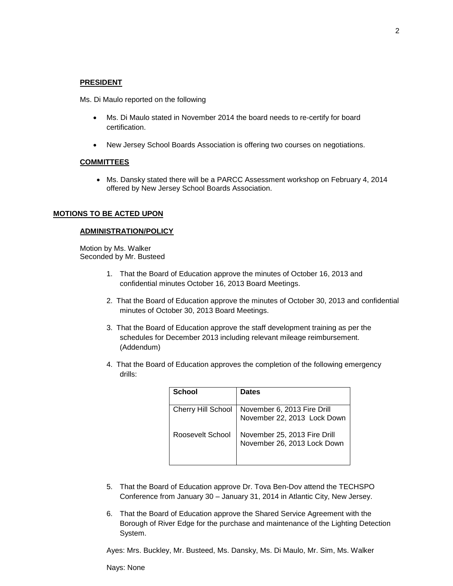#### **PRESIDENT**

Ms. Di Maulo reported on the following

- Ms. Di Maulo stated in November 2014 the board needs to re-certify for board certification.
- New Jersey School Boards Association is offering two courses on negotiations.

#### **COMMITTEES**

• Ms. Dansky stated there will be a PARCC Assessment workshop on February 4, 2014 offered by New Jersey School Boards Association.

#### **MOTIONS TO BE ACTED UPON**

#### **ADMINISTRATION/POLICY**

 Motion by Ms. Walker Seconded by Mr. Busteed

- 1. That the Board of Education approve the minutes of October 16, 2013 and confidential minutes October 16, 2013 Board Meetings.
- 2. That the Board of Education approve the minutes of October 30, 2013 and confidential minutes of October 30, 2013 Board Meetings.
- 3. That the Board of Education approve the staff development training as per the schedules for December 2013 including relevant mileage reimbursement. (Addendum)
- 4. That the Board of Education approves the completion of the following emergency drills:

| <b>School</b>             | <b>Dates</b>                                                |
|---------------------------|-------------------------------------------------------------|
|                           |                                                             |
| <b>Cherry Hill School</b> | November 6, 2013 Fire Drill<br>November 22, 2013 Lock Down  |
| Roosevelt School          | November 25, 2013 Fire Drill<br>November 26, 2013 Lock Down |

- 5. That the Board of Education approve Dr. Tova Ben-Dov attend the TECHSPO Conference from January 30 – January 31, 2014 in Atlantic City, New Jersey.
- 6. That the Board of Education approve the Shared Service Agreement with the Borough of River Edge for the purchase and maintenance of the Lighting Detection System.

Ayes: Mrs. Buckley, Mr. Busteed, Ms. Dansky, Ms. Di Maulo, Mr. Sim, Ms. Walker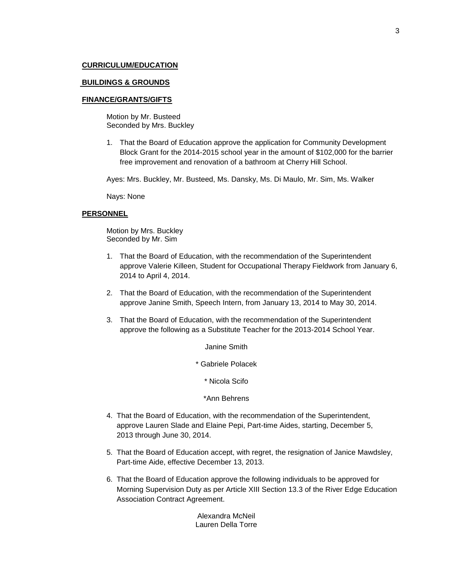## **CURRICULUM/EDUCATION**

#### **BUILDINGS & GROUNDS**

#### **FINANCE/GRANTS/GIFTS**

Motion by Mr. Busteed Seconded by Mrs. Buckley

1. That the Board of Education approve the application for Community Development Block Grant for the 2014-2015 school year in the amount of \$102,000 for the barrier free improvement and renovation of a bathroom at Cherry Hill School.

Ayes: Mrs. Buckley, Mr. Busteed, Ms. Dansky, Ms. Di Maulo, Mr. Sim, Ms. Walker

Nays: None

# **PERSONNEL**

Motion by Mrs. Buckley Seconded by Mr. Sim

- 1. That the Board of Education, with the recommendation of the Superintendent approve Valerie Killeen, Student for Occupational Therapy Fieldwork from January 6, 2014 to April 4, 2014.
- 2. That the Board of Education, with the recommendation of the Superintendent approve Janine Smith, Speech Intern, from January 13, 2014 to May 30, 2014.
- 3. That the Board of Education, with the recommendation of the Superintendent approve the following as a Substitute Teacher for the 2013-2014 School Year.

Janine Smith

\* Gabriele Polacek

\* Nicola Scifo

\*Ann Behrens

- 4. That the Board of Education, with the recommendation of the Superintendent, approve Lauren Slade and Elaine Pepi, Part-time Aides, starting, December 5, 2013 through June 30, 2014.
- 5. That the Board of Education accept, with regret, the resignation of Janice Mawdsley, Part-time Aide, effective December 13, 2013.
- 6. That the Board of Education approve the following individuals to be approved for Morning Supervision Duty as per Article XIII Section 13.3 of the River Edge Education Association Contract Agreement.

Alexandra McNeil Lauren Della Torre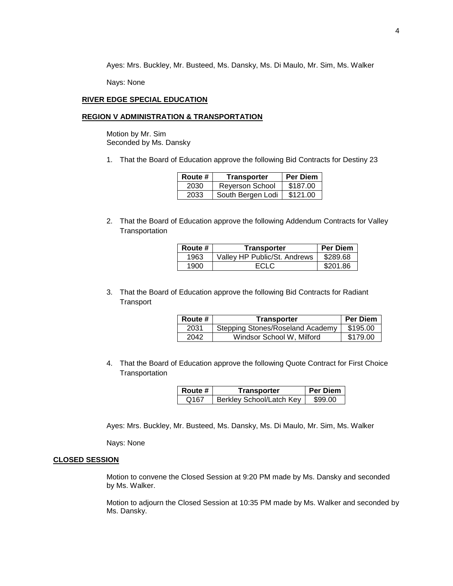Ayes: Mrs. Buckley, Mr. Busteed, Ms. Dansky, Ms. Di Maulo, Mr. Sim, Ms. Walker

Nays: None

### **RIVER EDGE SPECIAL EDUCATION**

## **REGION V ADMINISTRATION & TRANSPORTATION**

Motion by Mr. Sim Seconded by Ms. Dansky

1. That the Board of Education approve the following Bid Contracts for Destiny 23

| Route # | <b>Transporter</b> | <b>Per Diem</b> |
|---------|--------------------|-----------------|
| 2030    | Reyerson School    | \$187.00        |
| 2033    | South Bergen Lodi  | \$121.00        |

2. That the Board of Education approve the following Addendum Contracts for Valley **Transportation** 

| Route # | Transporter                  | <b>Per Diem</b> |
|---------|------------------------------|-----------------|
| 1963    | Valley HP Public/St. Andrews | \$289.68        |
| 1900    | ECI C                        | \$201.86        |

3. That the Board of Education approve the following Bid Contracts for Radiant **Transport** 

| <b>Route</b> # | Transporter                      | <b>Per Diem</b> |
|----------------|----------------------------------|-----------------|
| 2031           | Stepping Stones/Roseland Academy | \$195.00        |
| 2042           | Windsor School W, Milford        | \$179.00        |

4. That the Board of Education approve the following Quote Contract for First Choice **Transportation** 

| ∣ Route # | Transporter              | <b>Per Diem</b> |
|-----------|--------------------------|-----------------|
| Q167      | Berkley School/Latch Key | \$99.00         |

Ayes: Mrs. Buckley, Mr. Busteed, Ms. Dansky, Ms. Di Maulo, Mr. Sim, Ms. Walker

Nays: None

## **CLOSED SESSION**

Motion to convene the Closed Session at 9:20 PM made by Ms. Dansky and seconded by Ms. Walker.

Motion to adjourn the Closed Session at 10:35 PM made by Ms. Walker and seconded by Ms. Dansky.